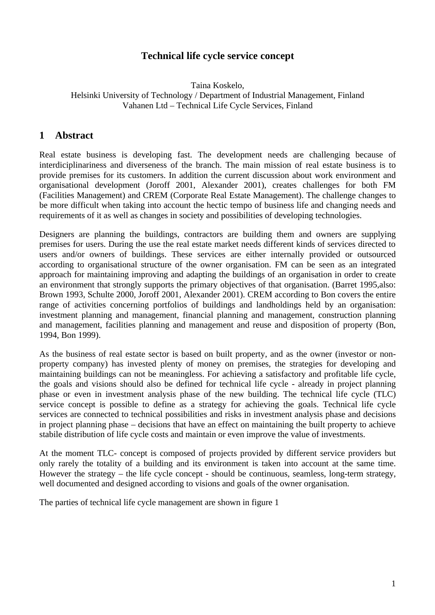# **Technical life cycle service concept**

#### Taina Koskelo, Helsinki University of Technology / Department of Industrial Management, Finland Vahanen Ltd – Technical Life Cycle Services, Finland

# **1 Abstract**

Real estate business is developing fast. The development needs are challenging because of interdiciplinariness and diverseness of the branch. The main mission of real estate business is to provide premises for its customers. In addition the current discussion about work environment and organisational development (Joroff 2001, Alexander 2001), creates challenges for both FM (Facilities Management) and CREM (Corporate Real Estate Management). The challenge changes to be more difficult when taking into account the hectic tempo of business life and changing needs and requirements of it as well as changes in society and possibilities of developing technologies.

Designers are planning the buildings, contractors are building them and owners are supplying premises for users. During the use the real estate market needs different kinds of services directed to users and/or owners of buildings. These services are either internally provided or outsourced according to organisational structure of the owner organisation. FM can be seen as an integrated approach for maintaining improving and adapting the buildings of an organisation in order to create an environment that strongly supports the primary objectives of that organisation. (Barret 1995,also: Brown 1993, Schulte 2000, Joroff 2001, Alexander 2001). CREM according to Bon covers the entire range of activities concerning portfolios of buildings and landholdings held by an organisation: investment planning and management, financial planning and management, construction planning and management, facilities planning and management and reuse and disposition of property (Bon, 1994, Bon 1999).

As the business of real estate sector is based on built property, and as the owner (investor or nonproperty company) has invested plenty of money on premises, the strategies for developing and maintaining buildings can not be meaningless. For achieving a satisfactory and profitable life cycle, the goals and visions should also be defined for technical life cycle - already in project planning phase or even in investment analysis phase of the new building. The technical life cycle (TLC) service concept is possible to define as a strategy for achieving the goals. Technical life cycle services are connected to technical possibilities and risks in investment analysis phase and decisions in project planning phase – decisions that have an effect on maintaining the built property to achieve stabile distribution of life cycle costs and maintain or even improve the value of investments.

At the moment TLC- concept is composed of projects provided by different service providers but only rarely the totality of a building and its environment is taken into account at the same time. However the strategy – the life cycle concept - should be continuous, seamless, long-term strategy, well documented and designed according to visions and goals of the owner organisation.

The parties of technical life cycle management are shown in figure 1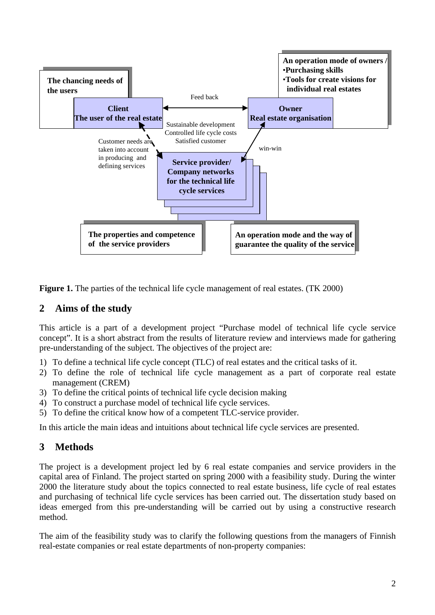

**Figure 1.** The parties of the technical life cycle management of real estates. (TK 2000)

## **2 Aims of the study**

This article is a part of a development project "Purchase model of technical life cycle service concept". It is a short abstract from the results of literature review and interviews made for gathering pre-understanding of the subject. The objectives of the project are:

- 1) To define a technical life cycle concept (TLC) of real estates and the critical tasks of it.
- 2) To define the role of technical life cycle management as a part of corporate real estate management (CREM)
- 3) To define the critical points of technical life cycle decision making
- 4) To construct a purchase model of technical life cycle services.
- 5) To define the critical know how of a competent TLC-service provider.

In this article the main ideas and intuitions about technical life cycle services are presented.

# **3 Methods**

The project is a development project led by 6 real estate companies and service providers in the capital area of Finland. The project started on spring 2000 with a feasibility study. During the winter 2000 the literature study about the topics connected to real estate business, life cycle of real estates and purchasing of technical life cycle services has been carried out. The dissertation study based on ideas emerged from this pre-understanding will be carried out by using a constructive research method.

The aim of the feasibility study was to clarify the following questions from the managers of Finnish real-estate companies or real estate departments of non-property companies: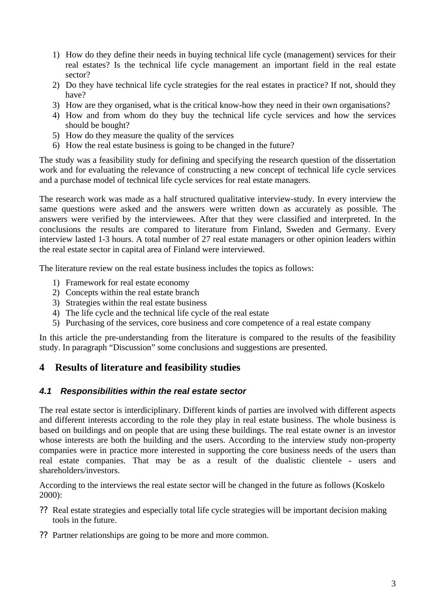- 1) How do they define their needs in buying technical life cycle (management) services for their real estates? Is the technical life cycle management an important field in the real estate sector?
- 2) Do they have technical life cycle strategies for the real estates in practice? If not, should they have?
- 3) How are they organised, what is the critical know-how they need in their own organisations?
- 4) How and from whom do they buy the technical life cycle services and how the services should be bought?
- 5) How do they measure the quality of the services
- 6) How the real estate business is going to be changed in the future?

The study was a feasibility study for defining and specifying the research question of the dissertation work and for evaluating the relevance of constructing a new concept of technical life cycle services and a purchase model of technical life cycle services for real estate managers.

The research work was made as a half structured qualitative interview-study. In every interview the same questions were asked and the answers were written down as accurately as possible. The answers were verified by the interviewees. After that they were classified and interpreted. In the conclusions the results are compared to literature from Finland, Sweden and Germany. Every interview lasted 1-3 hours. A total number of 27 real estate managers or other opinion leaders within the real estate sector in capital area of Finland were interviewed.

The literature review on the real estate business includes the topics as follows:

- 1) Framework for real estate economy
- 2) Concepts within the real estate branch
- 3) Strategies within the real estate business
- 4) The life cycle and the technical life cycle of the real estate
- 5) Purchasing of the services, core business and core competence of a real estate company

In this article the pre-understanding from the literature is compared to the results of the feasibility study. In paragraph "Discussion" some conclusions and suggestions are presented.

## **4 Results of literature and feasibility studies**

#### *4.1 Responsibilities within the real estate sector*

The real estate sector is interdiciplinary. Different kinds of parties are involved with different aspects and different interests according to the role they play in real estate business. The whole business is based on buildings and on people that are using these buildings. The real estate owner is an investor whose interests are both the building and the users. According to the interview study non-property companies were in practice more interested in supporting the core business needs of the users than real estate companies. That may be as a result of the dualistic clientele - users and shareholders/investors.

According to the interviews the real estate sector will be changed in the future as follows (Koskelo 2000):

- ?? Real estate strategies and especially total life cycle strategies will be important decision making tools in the future.
- ?? Partner relationships are going to be more and more common.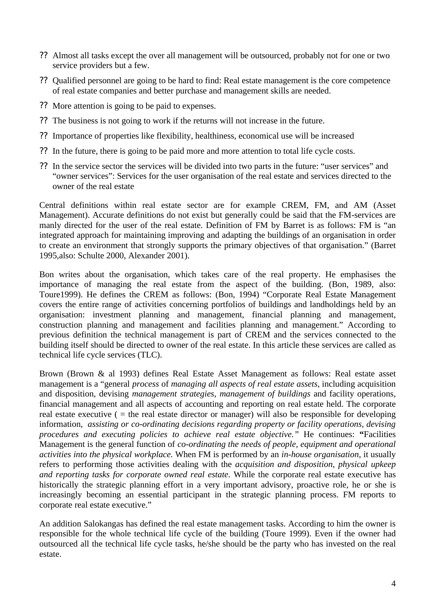- ?? Almost all tasks except the over all management will be outsourced, probably not for one or two service providers but a few.
- ?? Qualified personnel are going to be hard to find: Real estate management is the core competence of real estate companies and better purchase and management skills are needed.
- ?? More attention is going to be paid to expenses.
- ?? The business is not going to work if the returns will not increase in the future.
- ?? Importance of properties like flexibility, healthiness, economical use will be increased
- ?? In the future, there is going to be paid more and more attention to total life cycle costs.
- ?? In the service sector the services will be divided into two parts in the future: "user services" and "owner services": Services for the user organisation of the real estate and services directed to the owner of the real estate

Central definitions within real estate sector are for example CREM, FM, and AM (Asset Management). Accurate definitions do not exist but generally could be said that the FM-services are manly directed for the user of the real estate. Definition of FM by Barret is as follows: FM is "an integrated approach for maintaining improving and adapting the buildings of an organisation in order to create an environment that strongly supports the primary objectives of that organisation." (Barret 1995,also: Schulte 2000, Alexander 2001).

Bon writes about the organisation, which takes care of the real property. He emphasises the importance of managing the real estate from the aspect of the building. (Bon, 1989, also: Toure1999). He defines the CREM as follows: (Bon, 1994) "Corporate Real Estate Management covers the entire range of activities concerning portfolios of buildings and landholdings held by an organisation: investment planning and management, financial planning and management, construction planning and management and facilities planning and management." According to previous definition the technical management is part of CREM and the services connected to the building itself should be directed to owner of the real estate. In this article these services are called as technical life cycle services (TLC).

Brown (Brown & al 1993) defines Real Estate Asset Management as follows: Real estate asset management is a "general *process* of *managing all aspects of real estate assets*, including acquisition and disposition, devising *management strategies*, *management of buildings* and facility operations, financial management and all aspects of accounting and reporting on real estate held. The corporate real estate executive  $($  = the real estate director or manager) will also be responsible for developing information*, assisting or co-ordinating decisions regarding property or facility operations, devising procedures and executing policies to achieve real estate objective."* He continues: **"**Facilities Management is the general function of *co-ordinating the needs of people, equipment and operational activities into the physical workplace.* When FM is performed by an *in-house organisation*, it usually refers to performing those activities dealing with the *acquisition and disposition, physical upkeep and reporting tasks for corporate owned real estate*. While the corporate real estate executive has historically the strategic planning effort in a very important advisory, proactive role, he or she is increasingly becoming an essential participant in the strategic planning process. FM reports to corporate real estate executive."

An addition Salokangas has defined the real estate management tasks. According to him the owner is responsible for the whole technical life cycle of the building (Toure 1999). Even if the owner had outsourced all the technical life cycle tasks, he/she should be the party who has invested on the real estate.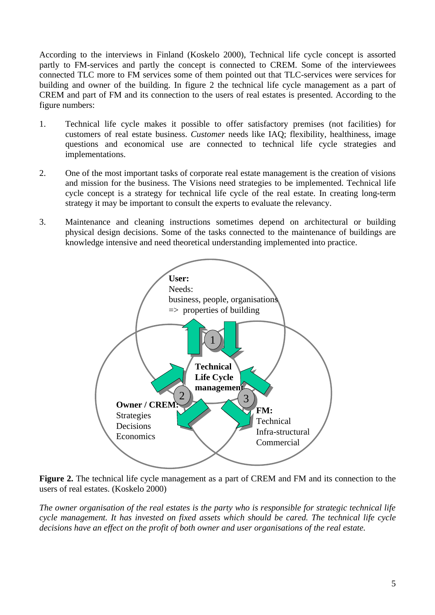According to the interviews in Finland (Koskelo 2000), Technical life cycle concept is assorted partly to FM-services and partly the concept is connected to CREM. Some of the interviewees connected TLC more to FM services some of them pointed out that TLC-services were services for building and owner of the building. In figure 2 the technical life cycle management as a part of CREM and part of FM and its connection to the users of real estates is presented. According to the figure numbers:

- 1. Technical life cycle makes it possible to offer satisfactory premises (not facilities) for customers of real estate business. *Customer* needs like IAQ; flexibility, healthiness, image questions and economical use are connected to technical life cycle strategies and implementations.
- 2. One of the most important tasks of corporate real estate management is the creation of visions and mission for the business. The Visions need strategies to be implemented. Technical life cycle concept is a strategy for technical life cycle of the real estate. In creating long-term strategy it may be important to consult the experts to evaluate the relevancy.
- 3. Maintenance and cleaning instructions sometimes depend on architectural or building physical design decisions. Some of the tasks connected to the maintenance of buildings are knowledge intensive and need theoretical understanding implemented into practice.



**Figure 2.** The technical life cycle management as a part of CREM and FM and its connection to the users of real estates. (Koskelo 2000)

*The owner organisation of the real estates is the party who is responsible for strategic technical life cycle management. It has invested on fixed assets which should be cared. The technical life cycle decisions have an effect on the profit of both owner and user organisations of the real estate.*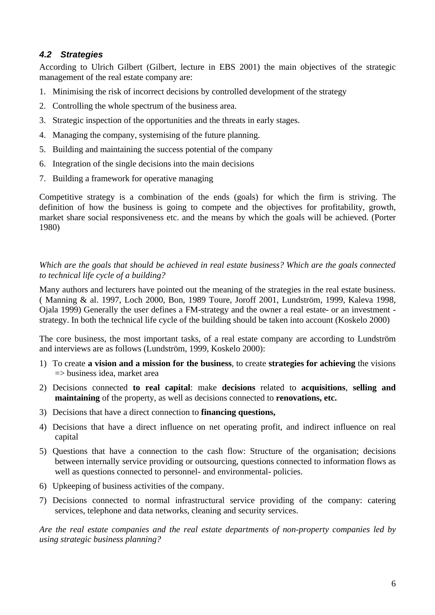# *4.2 Strategies*

According to Ulrich Gilbert (Gilbert, lecture in EBS 2001) the main objectives of the strategic management of the real estate company are:

- 1. Minimising the risk of incorrect decisions by controlled development of the strategy
- 2. Controlling the whole spectrum of the business area.
- 3. Strategic inspection of the opportunities and the threats in early stages.
- 4. Managing the company, systemising of the future planning.
- 5. Building and maintaining the success potential of the company
- 6. Integration of the single decisions into the main decisions
- 7. Building a framework for operative managing

Competitive strategy is a combination of the ends (goals) for which the firm is striving. The definition of how the business is going to compete and the objectives for profitability, growth, market share social responsiveness etc. and the means by which the goals will be achieved. (Porter 1980)

*Which are the goals that should be achieved in real estate business? Which are the goals connected to technical life cycle of a building?*

Many authors and lecturers have pointed out the meaning of the strategies in the real estate business. ( Manning & al. 1997, Loch 2000, Bon, 1989 Toure, Joroff 2001, Lundström, 1999, Kaleva 1998, Ojala 1999) Generally the user defines a FM-strategy and the owner a real estate- or an investment strategy. In both the technical life cycle of the building should be taken into account (Koskelo 2000)

The core business, the most important tasks, of a real estate company are according to Lundström and interviews are as follows (Lundström, 1999, Koskelo 2000):

- 1) To create **a vision and a mission for the business**, to create **strategies for achieving** the visions  $\Rightarrow$  business idea, market area
- 2) Decisions connected **to real capital**: make **decisions** related to **acquisitions**, **selling and maintaining** of the property, as well as decisions connected to **renovations, etc.**
- 3) Decisions that have a direct connection to **financing questions,**
- 4) Decisions that have a direct influence on net operating profit, and indirect influence on real capital
- 5) Questions that have a connection to the cash flow: Structure of the organisation; decisions between internally service providing or outsourcing, questions connected to information flows as well as questions connected to personnel- and environmental- policies.
- 6) Upkeeping of business activities of the company.
- 7) Decisions connected to normal infrastructural service providing of the company: catering services, telephone and data networks, cleaning and security services.

*Are the real estate companies and the real estate departments of non-property companies led by using strategic business planning?*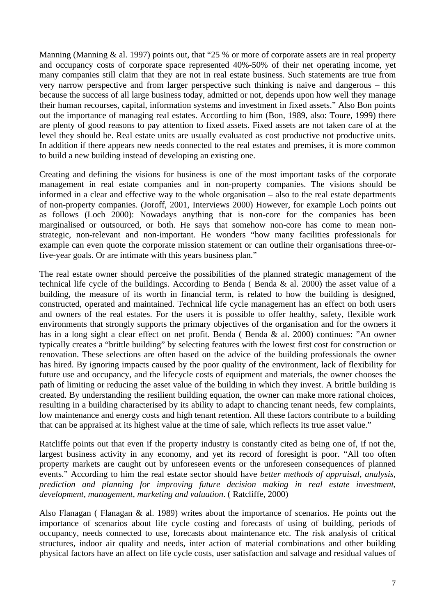Manning (Manning & al. 1997) points out, that "25 % or more of corporate assets are in real property and occupancy costs of corporate space represented 40%-50% of their net operating income, yet many companies still claim that they are not in real estate business. Such statements are true from very narrow perspective and from larger perspective such thinking is naive and dangerous – this because the success of all large business today, admitted or not, depends upon how well they manage their human recourses, capital, information systems and investment in fixed assets." Also Bon points out the importance of managing real estates. According to him (Bon, 1989, also: Toure, 1999) there are plenty of good reasons to pay attention to fixed assets. Fixed assets are not taken care of at the level they should be. Real estate units are usually evaluated as cost productive not productive units. In addition if there appears new needs connected to the real estates and premises, it is more common to build a new building instead of developing an existing one.

Creating and defining the visions for business is one of the most important tasks of the corporate management in real estate companies and in non-property companies. The visions should be informed in a clear and effective way to the whole organisation – also to the real estate departments of non-property companies. (Joroff, 2001, Interviews 2000) However, for example Loch points out as follows (Loch 2000): Nowadays anything that is non-core for the companies has been marginalised or outsourced, or both. He says that somehow non-core has come to mean nonstrategic, non-relevant and non-important. He wonders "how many facilities professionals for example can even quote the corporate mission statement or can outline their organisations three-orfive-year goals. Or are intimate with this years business plan."

The real estate owner should perceive the possibilities of the planned strategic management of the technical life cycle of the buildings. According to Benda ( Benda & al. 2000) the asset value of a building, the measure of its worth in financial term, is related to how the building is designed, constructed, operated and maintained. Technical life cycle management has an effect on both users and owners of the real estates. For the users it is possible to offer healthy, safety, flexible work environments that strongly supports the primary objectives of the organisation and for the owners it has in a long sight a clear effect on net profit. Benda ( Benda & al. 2000) continues: "An owner typically creates a "brittle building" by selecting features with the lowest first cost for construction or renovation. These selections are often based on the advice of the building professionals the owner has hired. By ignoring impacts caused by the poor quality of the environment, lack of flexibility for future use and occupancy, and the lifecycle costs of equipment and materials, the owner chooses the path of limiting or reducing the asset value of the building in which they invest. A brittle building is created. By understanding the resilient building equation, the owner can make more rational choices, resulting in a building characterised by its ability to adapt to chancing tenant needs, few complaints, low maintenance and energy costs and high tenant retention. All these factors contribute to a building that can be appraised at its highest value at the time of sale, which reflects its true asset value."

Ratcliffe points out that even if the property industry is constantly cited as being one of, if not the, largest business activity in any economy, and yet its record of foresight is poor. "All too often property markets are caught out by unforeseen events or the unforeseen consequences of planned events." According to him the real estate sector should have *better methods of appraisal, analysis, prediction and planning for improving future decision making in real estate investment, development, management, marketing and valuation*. ( Ratcliffe, 2000)

Also Flanagan ( Flanagan & al. 1989) writes about the importance of scenarios. He points out the importance of scenarios about life cycle costing and forecasts of using of building, periods of occupancy, needs connected to use, forecasts about maintenance etc. The risk analysis of critical structures, indoor air quality and needs, inter action of material combinations and other building physical factors have an affect on life cycle costs, user satisfaction and salvage and residual values of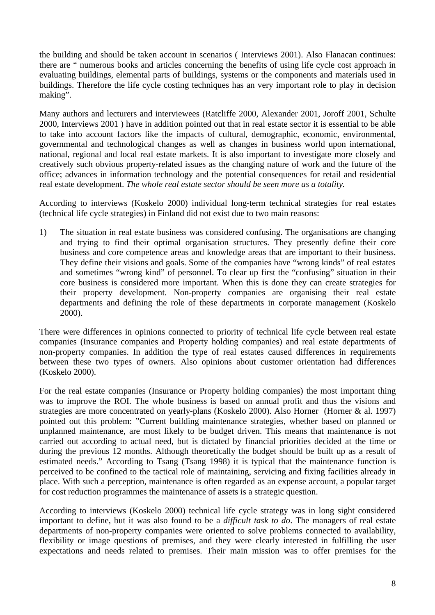the building and should be taken account in scenarios ( Interviews 2001). Also Flanacan continues: there are " numerous books and articles concerning the benefits of using life cycle cost approach in evaluating buildings, elemental parts of buildings, systems or the components and materials used in buildings. Therefore the life cycle costing techniques has an very important role to play in decision making".

Many authors and lecturers and interviewees (Ratcliffe 2000, Alexander 2001, Joroff 2001, Schulte 2000, Interviews 2001 ) have in addition pointed out that in real estate sector it is essential to be able to take into account factors like the impacts of cultural, demographic, economic, environmental, governmental and technological changes as well as changes in business world upon international, national, regional and local real estate markets. It is also important to investigate more closely and creatively such obvious property-related issues as the changing nature of work and the future of the office; advances in information technology and the potential consequences for retail and residential real estate development. *The whole real estate sector should be seen more as a totality.*

According to interviews (Koskelo 2000) individual long-term technical strategies for real estates (technical life cycle strategies) in Finland did not exist due to two main reasons:

1) The situation in real estate business was considered confusing. The organisations are changing and trying to find their optimal organisation structures. They presently define their core business and core competence areas and knowledge areas that are important to their business. They define their visions and goals. Some of the companies have "wrong kinds" of real estates and sometimes "wrong kind" of personnel. To clear up first the "confusing" situation in their core business is considered more important. When this is done they can create strategies for their property development. Non-property companies are organising their real estate departments and defining the role of these departments in corporate management (Koskelo 2000).

There were differences in opinions connected to priority of technical life cycle between real estate companies (Insurance companies and Property holding companies) and real estate departments of non-property companies. In addition the type of real estates caused differences in requirements between these two types of owners. Also opinions about customer orientation had differences (Koskelo 2000).

For the real estate companies (Insurance or Property holding companies) the most important thing was to improve the ROI. The whole business is based on annual profit and thus the visions and strategies are more concentrated on yearly-plans (Koskelo 2000). Also Horner (Horner & al. 1997) pointed out this problem: "Current building maintenance strategies, whether based on planned or unplanned maintenance, are most likely to be budget driven. This means that maintenance is not carried out according to actual need, but is dictated by financial priorities decided at the time or during the previous 12 months. Although theoretically the budget should be built up as a result of estimated needs." According to Tsang (Tsang 1998) it is typical that the maintenance function is perceived to be confined to the tactical role of maintaining, servicing and fixing facilities already in place. With such a perception, maintenance is often regarded as an expense account, a popular target for cost reduction programmes the maintenance of assets is a strategic question.

According to interviews (Koskelo 2000) technical life cycle strategy was in long sight considered important to define, but it was also found to be a *difficult task to do*. The managers of real estate departments of non-property companies were oriented to solve problems connected to availability, flexibility or image questions of premises, and they were clearly interested in fulfilling the user expectations and needs related to premises. Their main mission was to offer premises for the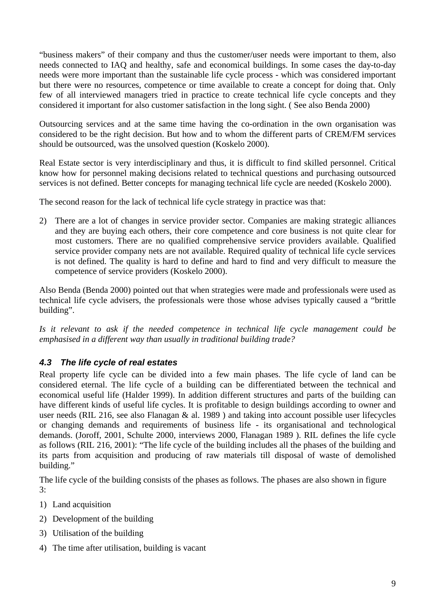"business makers" of their company and thus the customer/user needs were important to them, also needs connected to IAQ and healthy, safe and economical buildings. In some cases the day-to-day needs were more important than the sustainable life cycle process - which was considered important but there were no resources, competence or time available to create a concept for doing that. Only few of all interviewed managers tried in practice to create technical life cycle concepts and they considered it important for also customer satisfaction in the long sight. ( See also Benda 2000)

Outsourcing services and at the same time having the co-ordination in the own organisation was considered to be the right decision. But how and to whom the different parts of CREM/FM services should be outsourced, was the unsolved question (Koskelo 2000).

Real Estate sector is very interdisciplinary and thus, it is difficult to find skilled personnel. Critical know how for personnel making decisions related to technical questions and purchasing outsourced services is not defined. Better concepts for managing technical life cycle are needed (Koskelo 2000).

The second reason for the lack of technical life cycle strategy in practice was that:

2) There are a lot of changes in service provider sector. Companies are making strategic alliances and they are buying each others, their core competence and core business is not quite clear for most customers. There are no qualified comprehensive service providers available. Qualified service provider company nets are not available. Required quality of technical life cycle services is not defined. The quality is hard to define and hard to find and very difficult to measure the competence of service providers (Koskelo 2000).

Also Benda (Benda 2000) pointed out that when strategies were made and professionals were used as technical life cycle advisers, the professionals were those whose advises typically caused a "brittle building".

*Is it relevant to ask if the needed competence in technical life cycle management could be emphasised in a different way than usually in traditional building trade?*

# *4.3 The life cycle of real estates*

Real property life cycle can be divided into a few main phases. The life cycle of land can be considered eternal. The life cycle of a building can be differentiated between the technical and economical useful life (Halder 1999). In addition different structures and parts of the building can have different kinds of useful life cycles. It is profitable to design buildings according to owner and user needs (RIL 216, see also Flanagan & al. 1989 ) and taking into account possible user lifecycles or changing demands and requirements of business life - its organisational and technological demands. (Joroff, 2001, Schulte 2000, interviews 2000, Flanagan 1989 ). RIL defines the life cycle as follows (RIL 216, 2001): "The life cycle of the building includes all the phases of the building and its parts from acquisition and producing of raw materials till disposal of waste of demolished building."

The life cycle of the building consists of the phases as follows. The phases are also shown in figure 3:

- 1) Land acquisition
- 2) Development of the building
- 3) Utilisation of the building
- 4) The time after utilisation, building is vacant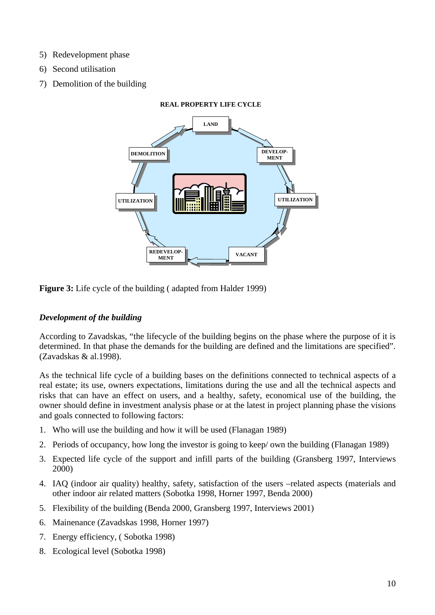- 5) Redevelopment phase
- 6) Second utilisation
- 7) Demolition of the building



**Figure 3:** Life cycle of the building ( adapted from Halder 1999)

## *Development of the building*

According to Zavadskas, "the lifecycle of the building begins on the phase where the purpose of it is determined. In that phase the demands for the building are defined and the limitations are specified". (Zavadskas & al.1998).

As the technical life cycle of a building bases on the definitions connected to technical aspects of a real estate; its use, owners expectations, limitations during the use and all the technical aspects and risks that can have an effect on users, and a healthy, safety, economical use of the building, the owner should define in investment analysis phase or at the latest in project planning phase the visions and goals connected to following factors:

- 1. Who will use the building and how it will be used (Flanagan 1989)
- 2. Periods of occupancy, how long the investor is going to keep/ own the building (Flanagan 1989)
- 3. Expected life cycle of the support and infill parts of the building (Gransberg 1997, Interviews 2000)
- 4. IAQ (indoor air quality) healthy, safety, satisfaction of the users –related aspects (materials and other indoor air related matters (Sobotka 1998, Horner 1997, Benda 2000)
- 5. Flexibility of the building (Benda 2000, Gransberg 1997, Interviews 2001)
- 6. Mainenance (Zavadskas 1998, Horner 1997)
- 7. Energy efficiency, ( Sobotka 1998)
- 8. Ecological level (Sobotka 1998)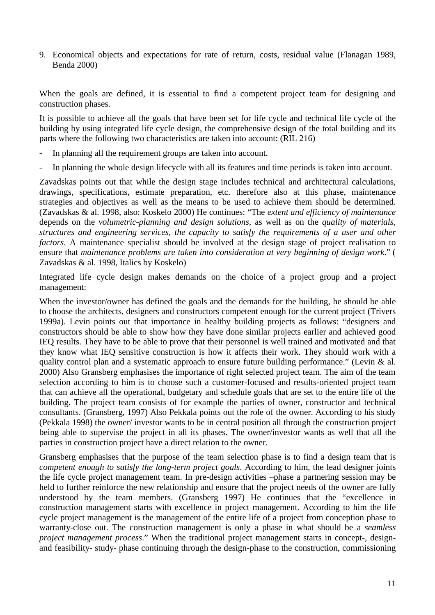9. Economical objects and expectations for rate of return, costs, residual value (Flanagan 1989, Benda 2000)

When the goals are defined, it is essential to find a competent project team for designing and construction phases.

It is possible to achieve all the goals that have been set for life cycle and technical life cycle of the building by using integrated life cycle design, the comprehensive design of the total building and its parts where the following two characteristics are taken into account: (RIL 216)

- In planning all the requirement groups are taken into account.
- In planning the whole design lifecycle with all its features and time periods is taken into account.

Zavadskas points out that while the design stage includes technical and architectural calculations, drawings, specifications, estimate preparation, etc. therefore also at this phase, maintenance strategies and objectives as well as the means to be used to achieve them should be determined. (Zavadskas & al. 1998, also: Koskelo 2000) He continues: "The *extent and efficiency of maintenance*  depends on the *volumetric-planning and design solutions,* as well as on the *quality of materials, structures and engineering services, the capacity to satisfy the requirements of a user and other factors*. A maintenance specialist should be involved at the design stage of project realisation to ensure that *maintenance problems are taken into consideration at very beginning of design work*." ( Zavadskas & al. 1998, Italics by Koskelo)

Integrated life cycle design makes demands on the choice of a project group and a project management:

When the investor/owner has defined the goals and the demands for the building, he should be able to choose the architects, designers and constructors competent enough for the current project (Trivers 1999a). Levin points out that importance in healthy building projects as follows: "designers and constructors should be able to show how they have done similar projects earlier and achieved good IEQ results. They have to be able to prove that their personnel is well trained and motivated and that they know what IEQ sensitive construction is how it affects their work. They should work with a quality control plan and a systematic approach to ensure future building performance." (Levin & al. 2000) Also Gransberg emphasises the importance of right selected project team. The aim of the team selection according to him is to choose such a customer-focused and results-oriented project team that can achieve all the operational, budgetary and schedule goals that are set to the entire life of the building. The project team consists of for example the parties of owner, constructor and technical consultants. (Gransberg, 1997) Also Pekkala points out the role of the owner. According to his study (Pekkala 1998) the owner/ investor wants to be in central position all through the construction project being able to supervise the project in all its phases. The owner/investor wants as well that all the parties in construction project have a direct relation to the owner.

Gransberg emphasises that the purpose of the team selection phase is to find a design team that is *competent enough to satisfy the long-term project goals*. According to him, the lead designer joints the life cycle project management team. In pre-design activities –phase a partnering session may be held to further reinforce the new relationship and ensure that the project needs of the owner are fully understood by the team members. (Gransberg 1997) He continues that the "excellence in construction management starts with excellence in project management. According to him the life cycle project management is the management of the entire life of a project from conception phase to warranty-close out. The construction management is only a phase in what should be a *seamless project management process*." When the traditional project management starts in concept-, designand feasibility- study- phase continuing through the design-phase to the construction, commissioning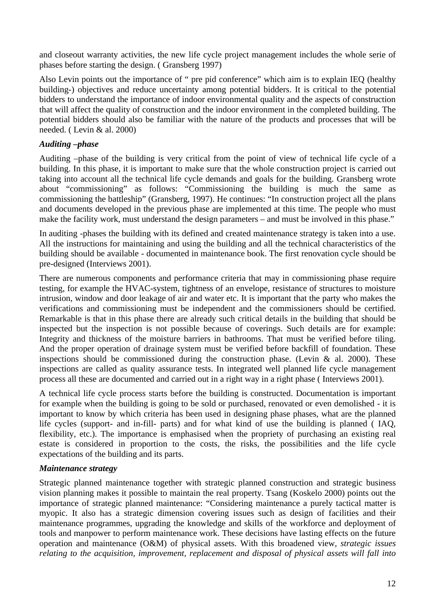and closeout warranty activities, the new life cycle project management includes the whole serie of phases before starting the design. ( Gransberg 1997)

Also Levin points out the importance of " pre pid conference" which aim is to explain IEQ (healthy building-) objectives and reduce uncertainty among potential bidders. It is critical to the potential bidders to understand the importance of indoor environmental quality and the aspects of construction that will affect the quality of construction and the indoor environment in the completed building. The potential bidders should also be familiar with the nature of the products and processes that will be needed. ( Levin & al. 2000)

#### *Auditing –phase*

Auditing –phase of the building is very critical from the point of view of technical life cycle of a building. In this phase, it is important to make sure that the whole construction project is carried out taking into account all the technical life cycle demands and goals for the building. Gransberg wrote about "commissioning" as follows: "Commissioning the building is much the same as commissioning the battleship" (Gransberg, 1997). He continues: "In construction project all the plans and documents developed in the previous phase are implemented at this time. The people who must make the facility work, must understand the design parameters – and must be involved in this phase."

In auditing -phases the building with its defined and created maintenance strategy is taken into a use. All the instructions for maintaining and using the building and all the technical characteristics of the building should be available - documented in maintenance book. The first renovation cycle should be pre-designed (Interviews 2001).

There are numerous components and performance criteria that may in commissioning phase require testing, for example the HVAC-system, tightness of an envelope, resistance of structures to moisture intrusion, window and door leakage of air and water etc. It is important that the party who makes the verifications and commissioning must be independent and the commissioners should be certified. Remarkable is that in this phase there are already such critical details in the building that should be inspected but the inspection is not possible because of coverings. Such details are for example: Integrity and thickness of the moisture barriers in bathrooms. That must be verified before tiling. And the proper operation of drainage system must be verified before backfill of foundation. These inspections should be commissioned during the construction phase. (Levin  $\&$  al. 2000). These inspections are called as quality assurance tests. In integrated well planned life cycle management process all these are documented and carried out in a right way in a right phase ( Interviews 2001).

A technical life cycle process starts before the building is constructed. Documentation is important for example when the building is going to be sold or purchased, renovated or even demolished - it is important to know by which criteria has been used in designing phase phases, what are the planned life cycles (support- and in-fill- parts) and for what kind of use the building is planned ( IAQ, flexibility, etc.). The importance is emphasised when the propriety of purchasing an existing real estate is considered in proportion to the costs, the risks, the possibilities and the life cycle expectations of the building and its parts.

#### *Maintenance strategy*

Strategic planned maintenance together with strategic planned construction and strategic business vision planning makes it possible to maintain the real property. Tsang (Koskelo 2000) points out the importance of strategic planned maintenance: "Considering maintenance a purely tactical matter is myopic. It also has a strategic dimension covering issues such as design of facilities and their maintenance programmes, upgrading the knowledge and skills of the workforce and deployment of tools and manpower to perform maintenance work. These decisions have lasting effects on the future operation and maintenance (O&M) of physical assets. With this broadened view, *strategic issues relating to the acquisition, improvement, replacement and disposal of physical assets will fall into*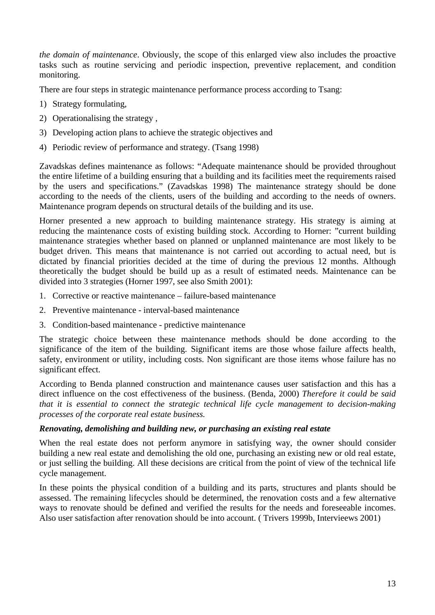*the domain of maintenance*. Obviously, the scope of this enlarged view also includes the proactive tasks such as routine servicing and periodic inspection, preventive replacement, and condition monitoring.

There are four steps in strategic maintenance performance process according to Tsang:

- 1) Strategy formulating,
- 2) Operationalising the strategy ,
- 3) Developing action plans to achieve the strategic objectives and
- 4) Periodic review of performance and strategy. (Tsang 1998)

Zavadskas defines maintenance as follows: "Adequate maintenance should be provided throughout the entire lifetime of a building ensuring that a building and its facilities meet the requirements raised by the users and specifications." (Zavadskas 1998) The maintenance strategy should be done according to the needs of the clients, users of the building and according to the needs of owners. Maintenance program depends on structural details of the building and its use.

Horner presented a new approach to building maintenance strategy. His strategy is aiming at reducing the maintenance costs of existing building stock. According to Horner: "current building maintenance strategies whether based on planned or unplanned maintenance are most likely to be budget driven. This means that maintenance is not carried out according to actual need, but is dictated by financial priorities decided at the time of during the previous 12 months. Although theoretically the budget should be build up as a result of estimated needs. Maintenance can be divided into 3 strategies (Horner 1997, see also Smith 2001):

- 1. Corrective or reactive maintenance failure-based maintenance
- 2. Preventive maintenance interval-based maintenance
- 3. Condition-based maintenance predictive maintenance

The strategic choice between these maintenance methods should be done according to the significance of the item of the building. Significant items are those whose failure affects health, safety, environment or utility, including costs. Non significant are those items whose failure has no significant effect.

According to Benda planned construction and maintenance causes user satisfaction and this has a direct influence on the cost effectiveness of the business. (Benda, 2000) *Therefore it could be said that it is essential to connect the strategic technical life cycle management to decision-making processes of the corporate real estate business.*

#### *Renovating, demolishing and building new, or purchasing an existing real estate*

When the real estate does not perform anymore in satisfying way, the owner should consider building a new real estate and demolishing the old one, purchasing an existing new or old real estate, or just selling the building. All these decisions are critical from the point of view of the technical life cycle management.

In these points the physical condition of a building and its parts, structures and plants should be assessed. The remaining lifecycles should be determined, the renovation costs and a few alternative ways to renovate should be defined and verified the results for the needs and foreseeable incomes. Also user satisfaction after renovation should be into account. ( Trivers 1999b, Intervieews 2001)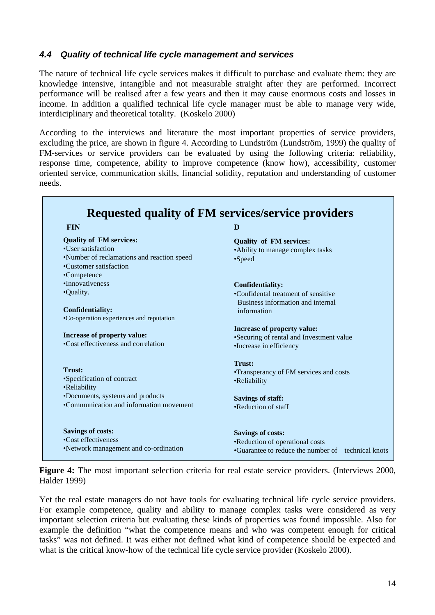### *4.4 Quality of technical life cycle management and services*

Г

The nature of technical life cycle services makes it difficult to purchase and evaluate them: they are knowledge intensive, intangible and not measurable straight after they are performed. Incorrect performance will be realised after a few years and then it may cause enormous costs and losses in income. In addition a qualified technical life cycle manager must be able to manage very wide, interdiciplinary and theoretical totality. (Koskelo 2000)

According to the interviews and literature the most important properties of service providers, excluding the price, are shown in figure 4. According to Lundström (Lundström, 1999) the quality of FM-services or service providers can be evaluated by using the following criteria: reliability, response time, competence, ability to improve competence (know how), accessibility, customer oriented service, communication skills, financial solidity, reputation and understanding of customer needs.

| <b>FIN</b>                                                           | D                                                  |
|----------------------------------------------------------------------|----------------------------------------------------|
| <b>Quality of FM services:</b>                                       | <b>Quality of FM services:</b>                     |
| •User satisfaction                                                   | •Ability to manage complex tasks                   |
| •Number of reclamations and reaction speed<br>•Customer satisfaction | •Speed                                             |
| •Competence                                                          |                                                    |
| •Innovativeness                                                      | <b>Confidentiality:</b>                            |
| •Quality.                                                            | •Confidental treatment of sensitive                |
|                                                                      | Business information and internal                  |
| <b>Confidentiality:</b>                                              | information                                        |
| •Co-operation experiences and reputation                             |                                                    |
|                                                                      | Increase of property value:                        |
| Increase of property value:                                          | •Securing of rental and Investment value           |
| •Cost effectiveness and correlation                                  | •Increase in efficiency                            |
|                                                                      | Trust:                                             |
| Trust:                                                               | •Transperancy of FM services and costs             |
| •Specification of contract<br>•Reliability                           | •Reliability                                       |
| •Documents, systems and products                                     | <b>Savings of staff:</b>                           |
| •Communication and information movement                              | •Reduction of staff                                |
| <b>Savings of costs:</b>                                             | <b>Savings of costs:</b>                           |
| •Cost effectiveness                                                  | •Reduction of operational costs                    |
| •Network management and co-ordination                                | •Guarantee to reduce the number of technical knots |

**Figure 4:** The most important selection criteria for real estate service providers. (Interviews 2000, Halder 1999)

Yet the real estate managers do not have tools for evaluating technical life cycle service providers. For example competence, quality and ability to manage complex tasks were considered as very important selection criteria but evaluating these kinds of properties was found impossible. Also for example the definition "what the competence means and who was competent enough for critical tasks" was not defined. It was either not defined what kind of competence should be expected and what is the critical know-how of the technical life cycle service provider (Koskelo 2000).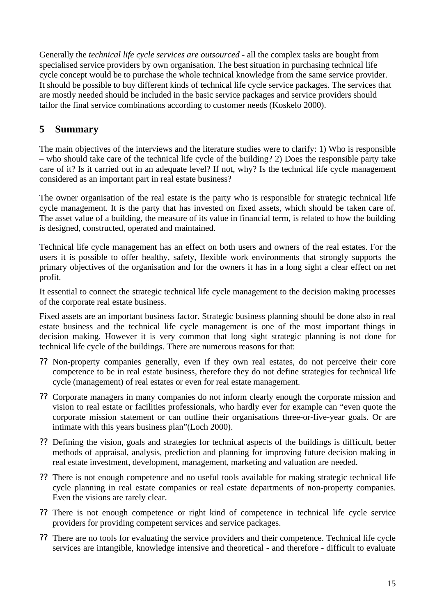Generally the *technical life cycle services are outsourced* - all the complex tasks are bought from specialised service providers by own organisation. The best situation in purchasing technical life cycle concept would be to purchase the whole technical knowledge from the same service provider. It should be possible to buy different kinds of technical life cycle service packages. The services that are mostly needed should be included in the basic service packages and service providers should tailor the final service combinations according to customer needs (Koskelo 2000).

# **5 Summary**

The main objectives of the interviews and the literature studies were to clarify: 1) Who is responsible – who should take care of the technical life cycle of the building? 2) Does the responsible party take care of it? Is it carried out in an adequate level? If not, why? Is the technical life cycle management considered as an important part in real estate business?

The owner organisation of the real estate is the party who is responsible for strategic technical life cycle management. It is the party that has invested on fixed assets, which should be taken care of. The asset value of a building, the measure of its value in financial term, is related to how the building is designed, constructed, operated and maintained.

Technical life cycle management has an effect on both users and owners of the real estates. For the users it is possible to offer healthy, safety, flexible work environments that strongly supports the primary objectives of the organisation and for the owners it has in a long sight a clear effect on net profit.

It essential to connect the strategic technical life cycle management to the decision making processes of the corporate real estate business.

Fixed assets are an important business factor. Strategic business planning should be done also in real estate business and the technical life cycle management is one of the most important things in decision making. However it is very common that long sight strategic planning is not done for technical life cycle of the buildings. There are numerous reasons for that:

- ?? Non-property companies generally, even if they own real estates, do not perceive their core competence to be in real estate business, therefore they do not define strategies for technical life cycle (management) of real estates or even for real estate management.
- ?? Corporate managers in many companies do not inform clearly enough the corporate mission and vision to real estate or facilities professionals, who hardly ever for example can "even quote the corporate mission statement or can outline their organisations three-or-five-year goals. Or are intimate with this years business plan"(Loch 2000).
- ?? Defining the vision, goals and strategies for technical aspects of the buildings is difficult, better methods of appraisal, analysis, prediction and planning for improving future decision making in real estate investment, development, management, marketing and valuation are needed.
- ?? There is not enough competence and no useful tools available for making strategic technical life cycle planning in real estate companies or real estate departments of non-property companies. Even the visions are rarely clear.
- ?? There is not enough competence or right kind of competence in technical life cycle service providers for providing competent services and service packages.
- ?? There are no tools for evaluating the service providers and their competence. Technical life cycle services are intangible, knowledge intensive and theoretical - and therefore - difficult to evaluate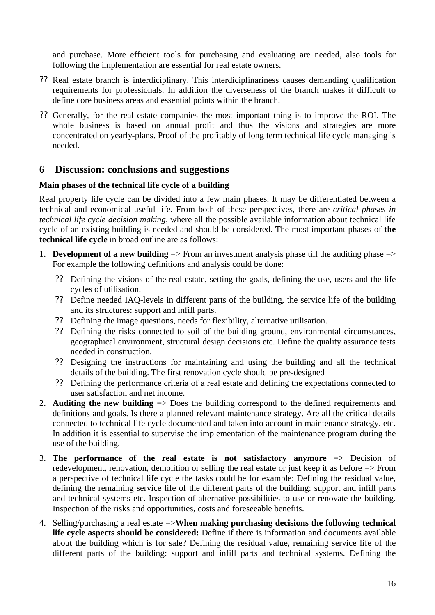and purchase. More efficient tools for purchasing and evaluating are needed, also tools for following the implementation are essential for real estate owners.

- ?? Real estate branch is interdiciplinary. This interdiciplinariness causes demanding qualification requirements for professionals. In addition the diverseness of the branch makes it difficult to define core business areas and essential points within the branch.
- ?? Generally, for the real estate companies the most important thing is to improve the ROI. The whole business is based on annual profit and thus the visions and strategies are more concentrated on yearly-plans. Proof of the profitably of long term technical life cycle managing is needed.

# **6 Discussion: conclusions and suggestions**

#### **Main phases of the technical life cycle of a building**

Real property life cycle can be divided into a few main phases. It may be differentiated between a technical and economical useful life. From both of these perspectives, there are *critical phases in technical life cycle decision making*, where all the possible available information about technical life cycle of an existing building is needed and should be considered. The most important phases of **the technical life cycle** in broad outline are as follows:

- 1. **Development of a new building**  $\Rightarrow$  From an investment analysis phase till the auditing phase  $\Rightarrow$ For example the following definitions and analysis could be done:
	- ?? Defining the visions of the real estate, setting the goals, defining the use, users and the life cycles of utilisation.
	- ?? Define needed IAQ-levels in different parts of the building, the service life of the building and its structures: support and infill parts.
	- ?? Defining the image questions, needs for flexibility, alternative utilisation.
	- ?? Defining the risks connected to soil of the building ground, environmental circumstances, geographical environment, structural design decisions etc. Define the quality assurance tests needed in construction.
	- ?? Designing the instructions for maintaining and using the building and all the technical details of the building. The first renovation cycle should be pre-designed
	- ?? Defining the performance criteria of a real estate and defining the expectations connected to user satisfaction and net income.
- 2. **Auditing the new building**  $\Rightarrow$  Does the building correspond to the defined requirements and definitions and goals. Is there a planned relevant maintenance strategy. Are all the critical details connected to technical life cycle documented and taken into account in maintenance strategy. etc. In addition it is essential to supervise the implementation of the maintenance program during the use of the building.
- 3. **The performance of the real estate is not satisfactory anymore** => Decision of redevelopment, renovation, demolition or selling the real estate or just keep it as before => From a perspective of technical life cycle the tasks could be for example: Defining the residual value, defining the remaining service life of the different parts of the building: support and infill parts and technical systems etc. Inspection of alternative possibilities to use or renovate the building. Inspection of the risks and opportunities, costs and foreseeable benefits.
- 4. Selling/purchasing a real estate =>**When making purchasing decisions the following technical life cycle aspects should be considered:** Define if there is information and documents available about the building which is for sale? Defining the residual value, remaining service life of the different parts of the building: support and infill parts and technical systems. Defining the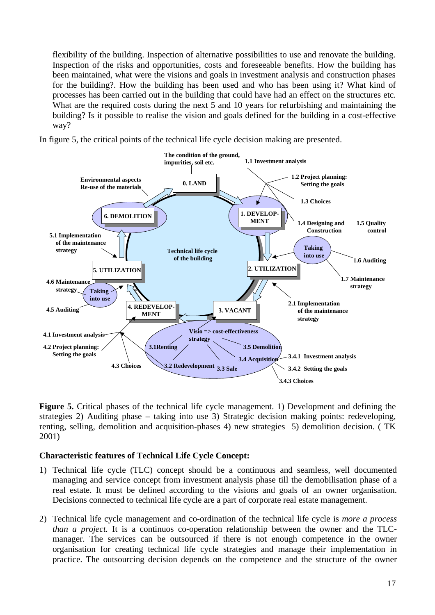flexibility of the building. Inspection of alternative possibilities to use and renovate the building. Inspection of the risks and opportunities, costs and foreseeable benefits. How the building has been maintained, what were the visions and goals in investment analysis and construction phases for the building?. How the building has been used and who has been using it? What kind of processes has been carried out in the building that could have had an effect on the structures etc. What are the required costs during the next 5 and 10 years for refurbishing and maintaining the building? Is it possible to realise the vision and goals defined for the building in a cost-effective way?

In figure 5, the critical points of the technical life cycle decision making are presented.



**Figure 5.** Critical phases of the technical life cycle management. 1) Development and defining the strategies 2) Auditing phase – taking into use 3) Strategic decision making points: redeveloping, renting, selling, demolition and acquisition-phases 4) new strategies 5) demolition decision. ( TK 2001)

#### **Characteristic features of Technical Life Cycle Concept:**

- 1) Technical life cycle (TLC) concept should be a continuous and seamless, well documented managing and service concept from investment analysis phase till the demobilisation phase of a real estate. It must be defined according to the visions and goals of an owner organisation. Decisions connected to technical life cycle are a part of corporate real estate management.
- 2) Technical life cycle management and co-ordination of the technical life cycle is *more a process than a project.* It is a continuos co-operation relationship between the owner and the TLCmanager. The services can be outsourced if there is not enough competence in the owner organisation for creating technical life cycle strategies and manage their implementation in practice. The outsourcing decision depends on the competence and the structure of the owner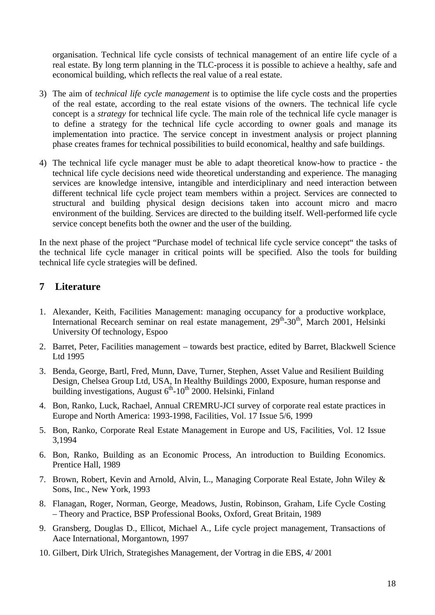organisation. Technical life cycle consists of technical management of an entire life cycle of a real estate. By long term planning in the TLC-process it is possible to achieve a healthy, safe and economical building, which reflects the real value of a real estate.

- 3) The aim of *technical life cycle management* is to optimise the life cycle costs and the properties of the real estate, according to the real estate visions of the owners. The technical life cycle concept is a *strategy* for technical life cycle. The main role of the technical life cycle manager is to define a strategy for the technical life cycle according to owner goals and manage its implementation into practice. The service concept in investment analysis or project planning phase creates frames for technical possibilities to build economical, healthy and safe buildings.
- 4) The technical life cycle manager must be able to adapt theoretical know-how to practice the technical life cycle decisions need wide theoretical understanding and experience. The managing services are knowledge intensive, intangible and interdiciplinary and need interaction between different technical life cycle project team members within a project. Services are connected to structural and building physical design decisions taken into account micro and macro environment of the building. Services are directed to the building itself. Well-performed life cycle service concept benefits both the owner and the user of the building.

In the next phase of the project "Purchase model of technical life cycle service concept" the tasks of the technical life cycle manager in critical points will be specified. Also the tools for building technical life cycle strategies will be defined.

# **7 Literature**

- 1. Alexander, Keith, Facilities Management: managing occupancy for a productive workplace, International Recearch seminar on real estate management, 29<sup>th</sup>-30<sup>th</sup>, March 2001, Helsinki University Of technology, Espoo
- 2. Barret, Peter, Facilities management towards best practice, edited by Barret, Blackwell Science Ltd 1995
- 3. Benda, George, Bartl, Fred, Munn, Dave, Turner, Stephen, Asset Value and Resilient Building Design, Chelsea Group Ltd, USA, In Healthy Buildings 2000, Exposure, human response and building investigations, August  $6<sup>th</sup>$ -10<sup>th</sup> 2000. Helsinki, Finland
- 4. Bon, Ranko, Luck, Rachael, Annual CREMRU-JCI survey of corporate real estate practices in Europe and North America: 1993-1998, Facilities, Vol. 17 Issue 5/6, 1999
- 5. Bon, Ranko, Corporate Real Estate Management in Europe and US, Facilities, Vol. 12 Issue 3,1994
- 6. Bon, Ranko, Building as an Economic Process, An introduction to Building Economics. Prentice Hall, 1989
- 7. Brown, Robert, Kevin and Arnold, Alvin, L., Managing Corporate Real Estate, John Wiley & Sons, Inc., New York, 1993
- 8. Flanagan, Roger, Norman, George, Meadows, Justin, Robinson, Graham, Life Cycle Costing – Theory and Practice, BSP Professional Books, Oxford, Great Britain, 1989
- 9. Gransberg, Douglas D., Ellicot, Michael A., Life cycle project management, Transactions of Aace International, Morgantown, 1997
- 10. Gilbert, Dirk Ulrich, Strategishes Management, der Vortrag in die EBS, 4/ 2001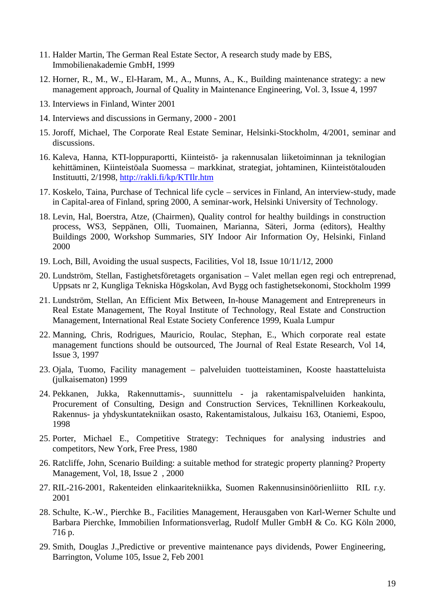- 11. Halder Martin, The German Real Estate Sector, A research study made by EBS, Immobilienakademie GmbH, 1999
- 12. Horner, R., M., W., El-Haram, M., A., Munns, A., K., Building maintenance strategy: a new management approach, Journal of Quality in Maintenance Engineering, Vol. 3, Issue 4, 1997
- 13. Interviews in Finland, Winter 2001
- 14. Interviews and discussions in Germany, 2000 2001
- 15. Joroff, Michael, The Corporate Real Estate Seminar, Helsinki-Stockholm, 4/2001, seminar and discussions.
- 16. Kaleva, Hanna, KTI-loppuraportti, Kiinteistö- ja rakennusalan liiketoiminnan ja teknilogian kehittäminen, Kiinteistöala Suomessa – markkinat, strategiat, johtaminen, Kiinteistötalouden Instituutti, 2/1998, http://rakli.fi/kp/KTIlr.htm
- 17. Koskelo, Taina, Purchase of Technical life cycle services in Finland, An interview-study, made in Capital-area of Finland, spring 2000, A seminar-work, Helsinki University of Technology.
- 18. Levin, Hal, Boerstra, Atze, (Chairmen), Quality control for healthy buildings in construction process, WS3, Seppänen, Olli, Tuomainen, Marianna, Säteri, Jorma (editors), Healthy Buildings 2000, Workshop Summaries, SIY Indoor Air Information Oy, Helsinki, Finland 2000
- 19. Loch, Bill, Avoiding the usual suspects, Facilities, Vol 18, Issue 10/11/12, 2000
- 20. Lundström, Stellan, Fastighetsföretagets organisation Valet mellan egen regi och entreprenad, Uppsats nr 2, Kungliga Tekniska Högskolan, Avd Bygg och fastighetsekonomi, Stockholm 1999
- 21. Lundström, Stellan, An Efficient Mix Between, In-house Management and Entrepreneurs in Real Estate Management, The Royal Institute of Technology, Real Estate and Construction Management, International Real Estate Society Conference 1999, Kuala Lumpur
- 22. Manning, Chris, Rodrigues, Mauricio, Roulac, Stephan, E., Which corporate real estate management functions should be outsourced, The Journal of Real Estate Research, Vol 14, Issue 3, 1997
- 23. Ojala, Tuomo, Facility management palveluiden tuotteistaminen, Kooste haastatteluista (julkaisematon) 1999
- 24. Pekkanen, Jukka, Rakennuttamis-, suunnittelu ja rakentamispalveluiden hankinta, Procurement of Consulting, Design and Construction Services, Teknillinen Korkeakoulu, Rakennus- ja yhdyskuntatekniikan osasto, Rakentamistalous, Julkaisu 163, Otaniemi, Espoo, 1998
- 25. Porter, Michael E., Competitive Strategy: Techniques for analysing industries and competitors, New York, Free Press, 1980
- 26. Ratcliffe, John, Scenario Building: a suitable method for strategic property planning? Property Management, Vol, 18, Issue 2 , 2000
- 27. RIL-216-2001, Rakenteiden elinkaaritekniikka, Suomen Rakennusinsinöörienliitto RIL r.y. 2001
- 28. Schulte, K.-W., Pierchke B., Facilities Management, Herausgaben von Karl-Werner Schulte und Barbara Pierchke, Immobilien Informationsverlag, Rudolf Muller GmbH & Co. KG Köln 2000, 716 p.
- 29. Smith, Douglas J.,Predictive or preventive maintenance pays dividends, Power Engineering, Barrington, Volume 105, Issue 2, Feb 2001